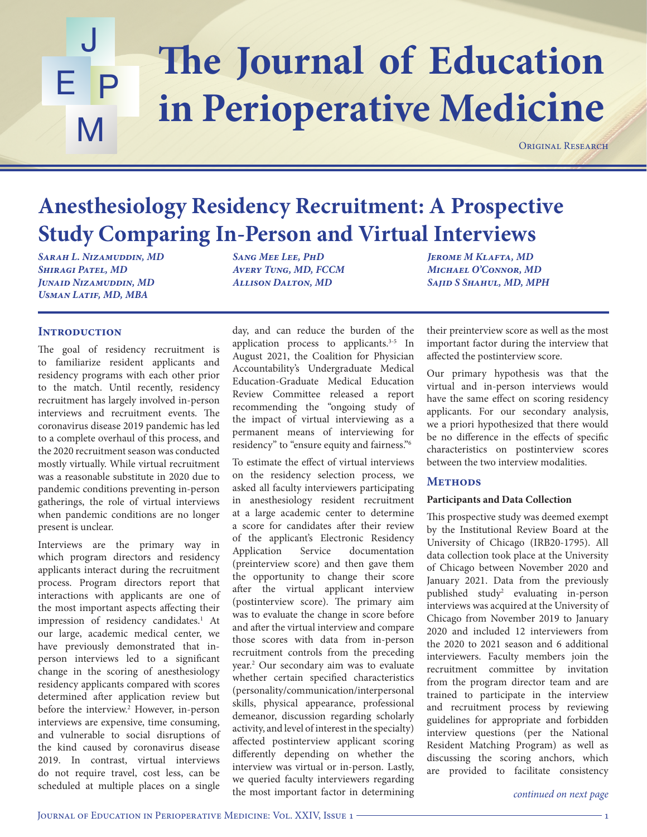## The Journal of Education J E P M **in Perioperative Medicine**

ORIGINAL RESEARCH

## **Anesthesiology Residency Recruitment: A Prospective Study Comparing In-Person and Virtual Interviews**

*Sarah L. Nizamuddin, MD Shiragi Patel, MD Junaid Nizamuddin, MD Usman Latif, MD, MBA*

*Sang Mee Lee, PhD Avery Tung, MD, FCCM Allison Dalton, MD*

## **INTRODUCTION**

The goal of residency recruitment is to familiarize resident applicants and residency programs with each other prior to the match. Until recently, residency recruitment has largely involved in-person interviews and recruitment events. The coronavirus disease 2019 pandemic has led to a complete overhaul of this process, and the 2020 recruitment season was conducted mostly virtually. While virtual recruitment was a reasonable substitute in 2020 due to pandemic conditions preventing in-person gatherings, the role of virtual interviews when pandemic conditions are no longer present is unclear.

Interviews are the primary way in which program directors and residency applicants interact during the recruitment process. Program directors report that interactions with applicants are one of the most important aspects affecting their impression of residency candidates.<sup>1</sup> At our large, academic medical center, we have previously demonstrated that inperson interviews led to a significant change in the scoring of anesthesiology residency applicants compared with scores determined after application review but before the interview.<sup>2</sup> However, in-person interviews are expensive, time consuming, and vulnerable to social disruptions of the kind caused by coronavirus disease 2019. In contrast, virtual interviews do not require travel, cost less, can be scheduled at multiple places on a single

day, and can reduce the burden of the application process to applicants.<sup>3-5</sup> In August 2021, the Coalition for Physician Accountability's Undergraduate Medical Education-Graduate Medical Education Review Committee released a report recommending the "ongoing study of the impact of virtual interviewing as a permanent means of interviewing for residency" to "ensure equity and fairness."6

To estimate the effect of virtual interviews on the residency selection process, we asked all faculty interviewers participating in anesthesiology resident recruitment at a large academic center to determine a score for candidates after their review of the applicant's Electronic Residency Application Service documentation (preinterview score) and then gave them the opportunity to change their score after the virtual applicant interview (postinterview score). The primary aim was to evaluate the change in score before and after the virtual interview and compare those scores with data from in-person recruitment controls from the preceding year.2 Our secondary aim was to evaluate whether certain specified characteristics (personality/communication/interpersonal skills, physical appearance, professional demeanor, discussion regarding scholarly activity, and level of interest in the specialty) affected postinterview applicant scoring differently depending on whether the interview was virtual or in-person. Lastly, we queried faculty interviewers regarding the most important factor in determining

*Jerome M Klafta, MD Michael O'Connor, MD Sajid S Shahul, MD, MPH*

their preinterview score as well as the most important factor during the interview that affected the postinterview score.

Our primary hypothesis was that the virtual and in-person interviews would have the same effect on scoring residency applicants. For our secondary analysis, we a priori hypothesized that there would be no difference in the effects of specific characteristics on postinterview scores between the two interview modalities.

## **Methods**

## **Participants and Data Collection**

This prospective study was deemed exempt by the Institutional Review Board at the University of Chicago (IRB20-1795). All data collection took place at the University of Chicago between November 2020 and January 2021. Data from the previously published study2 evaluating in-person interviews was acquired at the University of Chicago from November 2019 to January 2020 and included 12 interviewers from the 2020 to 2021 season and 6 additional interviewers. Faculty members join the recruitment committee by invitation from the program director team and are trained to participate in the interview and recruitment process by reviewing guidelines for appropriate and forbidden interview questions (per the National Resident Matching Program) as well as discussing the scoring anchors, which are provided to facilitate consistency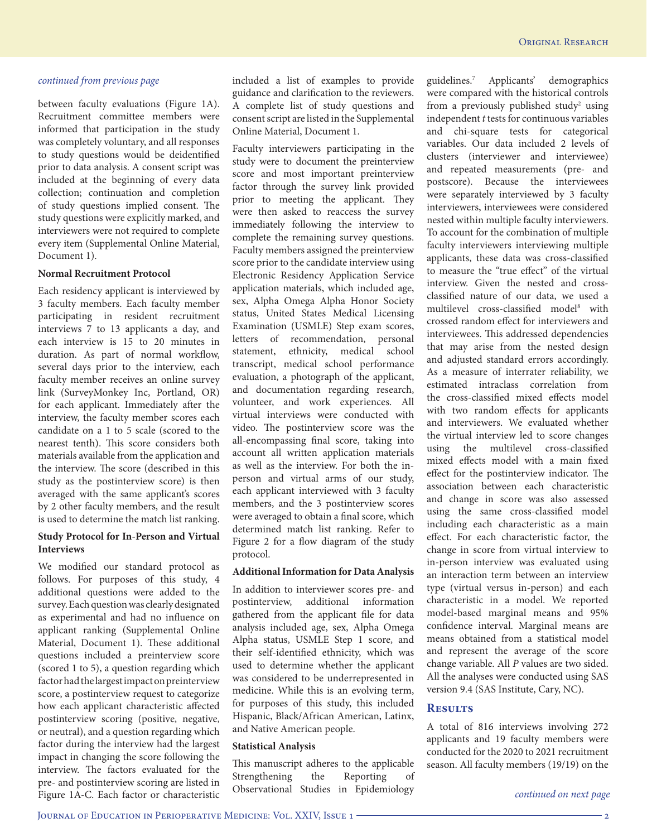between faculty evaluations (Figure 1A). Recruitment committee members were informed that participation in the study was completely voluntary, and all responses to study questions would be deidentified prior to data analysis. A consent script was included at the beginning of every data collection; continuation and completion of study questions implied consent. The study questions were explicitly marked, and interviewers were not required to complete every item (Supplemental Online Material, Document 1).

### **Normal Recruitment Protocol**

Each residency applicant is interviewed by 3 faculty members. Each faculty member participating in resident recruitment interviews 7 to 13 applicants a day, and each interview is 15 to 20 minutes in duration. As part of normal workflow, several days prior to the interview, each faculty member receives an online survey link (SurveyMonkey Inc, Portland, OR) for each applicant. Immediately after the interview, the faculty member scores each candidate on a 1 to 5 scale (scored to the nearest tenth). This score considers both materials available from the application and the interview. The score (described in this study as the postinterview score) is then averaged with the same applicant's scores by 2 other faculty members, and the result is used to determine the match list ranking.

## **Study Protocol for In-Person and Virtual Interviews**

We modified our standard protocol as follows. For purposes of this study, 4 additional questions were added to the survey. Each question was clearly designated as experimental and had no influence on applicant ranking (Supplemental Online Material, Document 1). These additional questions included a preinterview score (scored 1 to 5), a question regarding which factor had the largest impact on preinterview score, a postinterview request to categorize how each applicant characteristic affected postinterview scoring (positive, negative, or neutral), and a question regarding which factor during the interview had the largest impact in changing the score following the interview. The factors evaluated for the pre- and postinterview scoring are listed in Figure 1A-C. Each factor or characteristic

included a list of examples to provide guidance and clarification to the reviewers. A complete list of study questions and consent script are listed in the Supplemental Online Material, Document 1.

Faculty interviewers participating in the study were to document the preinterview score and most important preinterview factor through the survey link provided prior to meeting the applicant. They were then asked to reaccess the survey immediately following the interview to complete the remaining survey questions. Faculty members assigned the preinterview score prior to the candidate interview using Electronic Residency Application Service application materials, which included age, sex, Alpha Omega Alpha Honor Society status, United States Medical Licensing Examination (USMLE) Step exam scores, letters of recommendation, personal statement, ethnicity, medical school transcript, medical school performance evaluation, a photograph of the applicant, and documentation regarding research, volunteer, and work experiences. All virtual interviews were conducted with video. The postinterview score was the all-encompassing final score, taking into account all written application materials as well as the interview. For both the inperson and virtual arms of our study, each applicant interviewed with 3 faculty members, and the 3 postinterview scores were averaged to obtain a final score, which determined match list ranking. Refer to Figure 2 for a flow diagram of the study protocol.

### **Additional Information for Data Analysis**

In addition to interviewer scores pre- and postinterview, additional information gathered from the applicant file for data analysis included age, sex, Alpha Omega Alpha status, USMLE Step 1 score, and their self-identified ethnicity, which was used to determine whether the applicant was considered to be underrepresented in medicine. While this is an evolving term, for purposes of this study, this included Hispanic, Black/African American, Latinx, and Native American people.

### **Statistical Analysis**

This manuscript adheres to the applicable Strengthening the Reporting of Observational Studies in Epidemiology guidelines.7 Applicants' demographics were compared with the historical controls from a previously published study<sup>2</sup> using independent *t* tests for continuous variables and chi-square tests for categorical variables. Our data included 2 levels of clusters (interviewer and interviewee) and repeated measurements (pre- and postscore). Because the interviewees were separately interviewed by 3 faculty interviewers, interviewees were considered nested within multiple faculty interviewers. To account for the combination of multiple faculty interviewers interviewing multiple applicants, these data was cross-classified to measure the "true effect" of the virtual interview. Given the nested and crossclassified nature of our data, we used a multilevel cross-classified model<sup>8</sup> with crossed random effect for interviewers and interviewees. This addressed dependencies that may arise from the nested design and adjusted standard errors accordingly. As a measure of interrater reliability, we estimated intraclass correlation from the cross-classified mixed effects model with two random effects for applicants and interviewers. We evaluated whether the virtual interview led to score changes using the multilevel cross-classified mixed effects model with a main fixed effect for the postinterview indicator. The association between each characteristic and change in score was also assessed using the same cross-classified model including each characteristic as a main effect. For each characteristic factor, the change in score from virtual interview to in-person interview was evaluated using an interaction term between an interview type (virtual versus in-person) and each characteristic in a model. We reported model-based marginal means and 95% confidence interval. Marginal means are means obtained from a statistical model and represent the average of the score change variable. All *P* values are two sided. All the analyses were conducted using SAS version 9.4 (SAS Institute, Cary, NC).

## **Results**

A total of 816 interviews involving 272 applicants and 19 faculty members were conducted for the 2020 to 2021 recruitment season. All faculty members (19/19) on the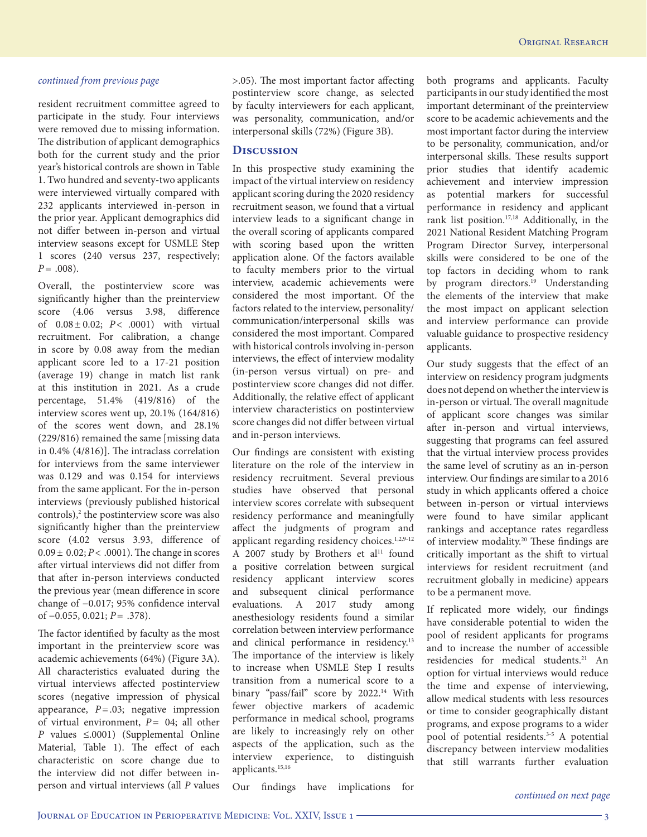resident recruitment committee agreed to participate in the study. Four interviews were removed due to missing information. The distribution of applicant demographics both for the current study and the prior year's historical controls are shown in Table 1. Two hundred and seventy-two applicants were interviewed virtually compared with 232 applicants interviewed in-person in the prior year. Applicant demographics did not differ between in-person and virtual interview seasons except for USMLE Step 1 scores (240 versus 237, respectively; *P*= .008).

Overall, the postinterview score was significantly higher than the preinterview score (4.06 versus 3.98, difference of 0.08± 0.02; *P*< .0001) with virtual recruitment. For calibration, a change in score by 0.08 away from the median applicant score led to a 17-21 position (average 19) change in match list rank at this institution in 2021. As a crude percentage, 51.4% (419/816) of the interview scores went up, 20.1% (164/816) of the scores went down, and 28.1% (229/816) remained the same [missing data in 0.4% (4/816)]. The intraclass correlation for interviews from the same interviewer was 0.129 and was 0.154 for interviews from the same applicant. For the in-person interviews (previously published historical controls),<sup>2</sup> the postinterview score was also significantly higher than the preinterview score (4.02 versus 3.93, difference of  $0.09 \pm 0.02$ ; *P* < .0001). The change in scores after virtual interviews did not differ from that after in-person interviews conducted the previous year (mean difference in score change of −0.017; 95% confidence interval of −0.055, 0.021; *P*= .378).

The factor identified by faculty as the most important in the preinterview score was academic achievements (64%) (Figure 3A). All characteristics evaluated during the virtual interviews affected postinterview scores (negative impression of physical appearance,  $P = .03$ ; negative impression of virtual environment, *P*= 04; all other *P* values ≤.0001) (Supplemental Online Material, Table 1). The effect of each characteristic on score change due to the interview did not differ between inperson and virtual interviews (all *P* values

>.05). The most important factor affecting postinterview score change, as selected by faculty interviewers for each applicant, was personality, communication, and/or interpersonal skills (72%) (Figure 3B).

## **Discussion**

In this prospective study examining the impact of the virtual interview on residency applicant scoring during the 2020 residency recruitment season, we found that a virtual interview leads to a significant change in the overall scoring of applicants compared with scoring based upon the written application alone. Of the factors available to faculty members prior to the virtual interview, academic achievements were considered the most important. Of the factors related to the interview, personality/ communication/interpersonal skills was considered the most important. Compared with historical controls involving in-person interviews, the effect of interview modality (in-person versus virtual) on pre- and postinterview score changes did not differ. Additionally, the relative effect of applicant interview characteristics on postinterview score changes did not differ between virtual and in-person interviews.

Our findings are consistent with existing literature on the role of the interview in residency recruitment. Several previous studies have observed that personal interview scores correlate with subsequent residency performance and meaningfully affect the judgments of program and applicant regarding residency choices.<sup>1,2,9-12</sup> A 2007 study by Brothers et al<sup>11</sup> found a positive correlation between surgical residency applicant interview scores and subsequent clinical performance evaluations. A 2017 study among anesthesiology residents found a similar correlation between interview performance and clinical performance in residency.<sup>13</sup> The importance of the interview is likely to increase when USMLE Step I results transition from a numerical score to a binary "pass/fail" score by 2022.<sup>14</sup> With fewer objective markers of academic performance in medical school, programs are likely to increasingly rely on other aspects of the application, such as the interview experience, to distinguish applicants.15,16

both programs and applicants. Faculty participants in our study identified the most important determinant of the preinterview score to be academic achievements and the most important factor during the interview to be personality, communication, and/or interpersonal skills. These results support prior studies that identify academic achievement and interview impression as potential markers for successful performance in residency and applicant rank list position.17,18 Additionally, in the 2021 National Resident Matching Program Program Director Survey, interpersonal skills were considered to be one of the top factors in deciding whom to rank by program directors.<sup>19</sup> Understanding the elements of the interview that make the most impact on applicant selection and interview performance can provide valuable guidance to prospective residency applicants.

Our study suggests that the effect of an interview on residency program judgments does not depend on whether the interview is in-person or virtual. The overall magnitude of applicant score changes was similar after in-person and virtual interviews, suggesting that programs can feel assured that the virtual interview process provides the same level of scrutiny as an in-person interview. Our findings are similar to a 2016 study in which applicants offered a choice between in-person or virtual interviews were found to have similar applicant rankings and acceptance rates regardless of interview modality.20 These findings are critically important as the shift to virtual interviews for resident recruitment (and recruitment globally in medicine) appears to be a permanent move.

If replicated more widely, our findings have considerable potential to widen the pool of resident applicants for programs and to increase the number of accessible residencies for medical students.21 An option for virtual interviews would reduce the time and expense of interviewing, allow medical students with less resources or time to consider geographically distant programs, and expose programs to a wider pool of potential residents.<sup>3-5</sup> A potential discrepancy between interview modalities that still warrants further evaluation

Our findings have implications for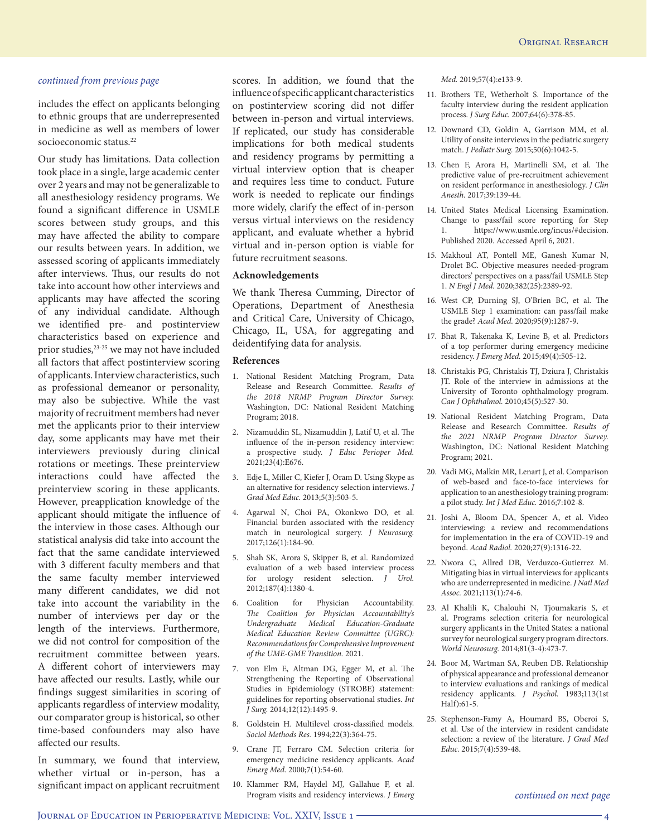includes the effect on applicants belonging to ethnic groups that are underrepresented in medicine as well as members of lower socioeconomic status.<sup>22</sup>

Our study has limitations. Data collection took place in a single, large academic center over 2 years and may not be generalizable to all anesthesiology residency programs. We found a significant difference in USMLE scores between study groups, and this may have affected the ability to compare our results between years. In addition, we assessed scoring of applicants immediately after interviews. Thus, our results do not take into account how other interviews and applicants may have affected the scoring of any individual candidate. Although we identified pre- and postinterview characteristics based on experience and prior studies,<sup>23-25</sup> we may not have included all factors that affect postinterview scoring of applicants. Interview characteristics, such as professional demeanor or personality, may also be subjective. While the vast majority of recruitment members had never met the applicants prior to their interview day, some applicants may have met their interviewers previously during clinical rotations or meetings. These preinterview interactions could have affected the preinterview scoring in these applicants. However, preapplication knowledge of the applicant should mitigate the influence of the interview in those cases. Although our statistical analysis did take into account the fact that the same candidate interviewed with 3 different faculty members and that the same faculty member interviewed many different candidates, we did not take into account the variability in the number of interviews per day or the length of the interviews. Furthermore, we did not control for composition of the recruitment committee between years. A different cohort of interviewers may have affected our results. Lastly, while our findings suggest similarities in scoring of applicants regardless of interview modality, our comparator group is historical, so other time-based confounders may also have affected our results.

In summary, we found that interview, whether virtual or in-person, has a significant impact on applicant recruitment

scores. In addition, we found that the influence of specific applicant characteristics on postinterview scoring did not differ between in-person and virtual interviews. If replicated, our study has considerable implications for both medical students and residency programs by permitting a virtual interview option that is cheaper and requires less time to conduct. Future work is needed to replicate our findings more widely, clarify the effect of in-person versus virtual interviews on the residency applicant, and evaluate whether a hybrid virtual and in-person option is viable for future recruitment seasons.

#### **Acknowledgements**

We thank Theresa Cumming, Director of Operations, Department of Anesthesia and Critical Care, University of Chicago, Chicago, IL, USA, for aggregating and deidentifying data for analysis.

#### **References**

- 1. National Resident Matching Program, Data Release and Research Committee. *Results of the 2018 NRMP Program Director Survey.* Washington, DC: National Resident Matching Program; 2018.
- 2. Nizamuddin SL, Nizamuddin J, Latif U, et al. The influence of the in-person residency interview: a prospective study. *J Educ Perioper Med.* 2021;23(4):E676.
- 3. Edje L, Miller C, Kiefer J, Oram D. Using Skype as an alternative for residency selection interviews. *J Grad Med Educ.* 2013;5(3):503-5.
- 4. Agarwal N, Choi PA, Okonkwo DO, et al. Financial burden associated with the residency match in neurological surgery. *J Neurosurg.* 2017;126(1):184-90.
- 5. Shah SK, Arora S, Skipper B, et al. Randomized evaluation of a web based interview process for urology resident selection. *J Urol.* 2012;187(4):1380-4.
- 6. Coalition for Physician Accountability. *The Coalition for Physician Accountability's Undergraduate Medical Education-Graduate Medical Education Review Committee (UGRC): Recommendations for Comprehensive Improvement of the UME-GME Transition.* 2021.
- 7. von Elm E, Altman DG, Egger M, et al. The Strengthening the Reporting of Observational Studies in Epidemiology (STROBE) statement: guidelines for reporting observational studies. *Int J Surg.* 2014;12(12):1495-9.
- 8. Goldstein H. Multilevel cross-classified models. *Sociol Methods Res.* 1994;22(3):364-75.
- 9. Crane JT, Ferraro CM. Selection criteria for emergency medicine residency applicants. *Acad Emerg Med.* 2000;7(1):54-60.
- 10. Klammer RM, Haydel MJ, Gallahue F, et al. Program visits and residency interviews. *J Emerg*

*Med.* 2019;57(4):e133-9.

- 11. Brothers TE, Wetherholt S. Importance of the faculty interview during the resident application process. *J Surg Educ.* 2007;64(6):378-85.
- 12. Downard CD, Goldin A, Garrison MM, et al. Utility of onsite interviews in the pediatric surgery match. *J Pediatr Surg.* 2015;50(6):1042-5.
- 13. Chen F, Arora H, Martinelli SM, et al. The predictive value of pre-recruitment achievement on resident performance in anesthesiology. *J Clin Anesth.* 2017;39:139-44.
- 14. United States Medical Licensing Examination. Change to pass/fail score reporting for Step 1. https://www.usmle.org/incus/#decision. Published 2020. Accessed April 6, 2021.
- 15. Makhoul AT, Pontell ME, Ganesh Kumar N, Drolet BC. Objective measures needed-program directors' perspectives on a pass/fail USMLE Step 1. *N Engl J Med.* 2020;382(25):2389-92.
- 16. West CP, Durning SJ, O'Brien BC, et al. The USMLE Step 1 examination: can pass/fail make the grade? *Acad Med.* 2020;95(9):1287-9.
- 17. Bhat R, Takenaka K, Levine B, et al. Predictors of a top performer during emergency medicine residency. *J Emerg Med.* 2015;49(4):505-12.
- 18. Christakis PG, Christakis TJ, Dziura J, Christakis JT. Role of the interview in admissions at the University of Toronto ophthalmology program. *Can J Ophthalmol.* 2010;45(5):527-30.
- 19. National Resident Matching Program, Data Release and Research Committee. *Results of the 2021 NRMP Program Director Survey.* Washington, DC: National Resident Matching Program; 2021.
- 20. Vadi MG, Malkin MR, Lenart J, et al. Comparison of web-based and face-to-face interviews for application to an anesthesiology training program: a pilot study. *Int J Med Educ.* 2016;7:102-8.
- 21. Joshi A, Bloom DA, Spencer A, et al. Video interviewing: a review and recommendations for implementation in the era of COVID-19 and beyond. *Acad Radiol.* 2020;27(9):1316-22.
- 22. Nwora C, Allred DB, Verduzco-Gutierrez M. Mitigating bias in virtual interviews for applicants who are underrepresented in medicine. *J Natl Med Assoc.* 2021;113(1):74-6.
- 23. Al Khalili K, Chalouhi N, Tjoumakaris S, et al. Programs selection criteria for neurological surgery applicants in the United States: a national survey for neurological surgery program directors. *World Neurosurg.* 2014;81(3-4):473-7.
- 24. Boor M, Wartman SA, Reuben DB. Relationship of physical appearance and professional demeanor to interview evaluations and rankings of medical residency applicants. *J Psychol.* 1983;113(1st Half):61-5.
- 25. Stephenson-Famy A, Houmard BS, Oberoi S, et al. Use of the interview in resident candidate selection: a review of the literature. *J Grad Med Educ.* 2015;7(4):539-48.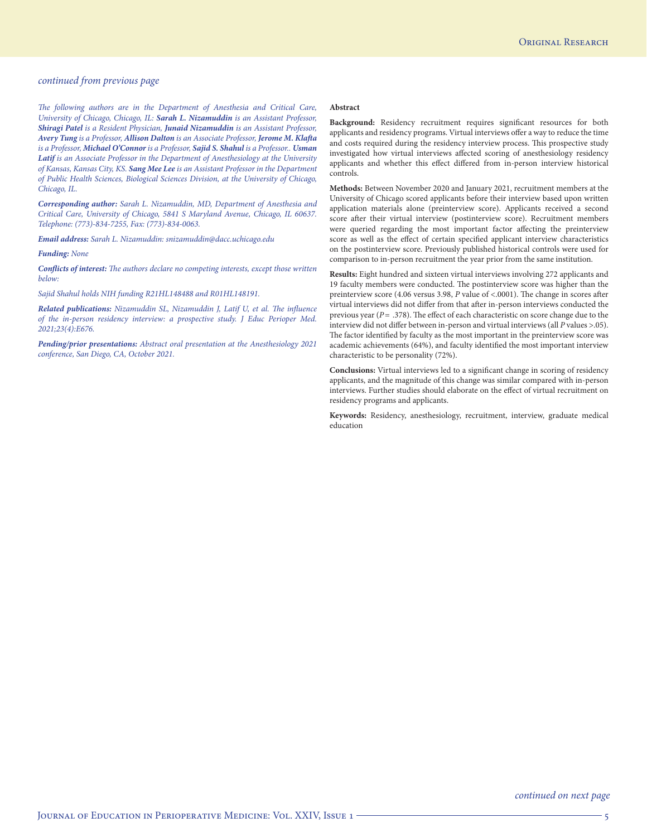*The following authors are in the Department of Anesthesia and Critical Care, University of Chicago, Chicago, IL: Sarah L. Nizamuddin is an Assistant Professor, Shiragi Patel is a Resident Physician, Junaid Nizamuddin is an Assistant Professor, Avery Tung is a Professor, Allison Dalton is an Associate Professor, Jerome M. Klafta is a Professor, Michael O'Connor is a Professor, Sajid S. Shahul is a Professor.. Usman Latif is an Associate Professor in the Department of Anesthesiology at the University of Kansas, Kansas City, KS. Sang Mee Lee is an Assistant Professor in the Department of Public Health Sciences, Biological Sciences Division, at the University of Chicago, Chicago, IL.*

*Corresponding author: Sarah L. Nizamuddin, MD, Department of Anesthesia and Critical Care, University of Chicago, 5841 S Maryland Avenue, Chicago, IL 60637. Telephone: (773)-834-7255, Fax: (773)-834-0063.*

*Email address: Sarah L. Nizamuddin: snizamuddin@dacc.uchicago.edu*

*Funding: None*

*Conflicts of interest: The authors declare no competing interests, except those written below:*

*Sajid Shahul holds NIH funding R21HL148488 and R01HL148191.*

*Related publications: Nizamuddin SL, Nizamuddin J, Latif U, et al. The influence of the in-person residency interview: a prospective study. J Educ Perioper Med. 2021;23(4):E676.*

*Pending/prior presentations: Abstract oral presentation at the Anesthesiology 2021 conference, San Diego, CA, October 2021.*

#### **Abstract**

**Background:** Residency recruitment requires significant resources for both applicants and residency programs. Virtual interviews offer a way to reduce the time and costs required during the residency interview process. This prospective study investigated how virtual interviews affected scoring of anesthesiology residency applicants and whether this effect differed from in-person interview historical controls.

**Methods:** Between November 2020 and January 2021, recruitment members at the University of Chicago scored applicants before their interview based upon written application materials alone (preinterview score). Applicants received a second score after their virtual interview (postinterview score). Recruitment members were queried regarding the most important factor affecting the preinterview score as well as the effect of certain specified applicant interview characteristics on the postinterview score. Previously published historical controls were used for comparison to in-person recruitment the year prior from the same institution.

**Results:** Eight hundred and sixteen virtual interviews involving 272 applicants and 19 faculty members were conducted. The postinterview score was higher than the preinterview score (4.06 versus 3.98, *P* value of <.0001). The change in scores after virtual interviews did not differ from that after in-person interviews conducted the previous year (*P*= .378). The effect of each characteristic on score change due to the interview did not differ between in-person and virtual interviews (all *P* values >.05). The factor identified by faculty as the most important in the preinterview score was academic achievements (64%), and faculty identified the most important interview characteristic to be personality (72%).

**Conclusions:** Virtual interviews led to a significant change in scoring of residency applicants, and the magnitude of this change was similar compared with in-person interviews. Further studies should elaborate on the effect of virtual recruitment on residency programs and applicants.

**Keywords:** Residency, anesthesiology, recruitment, interview, graduate medical education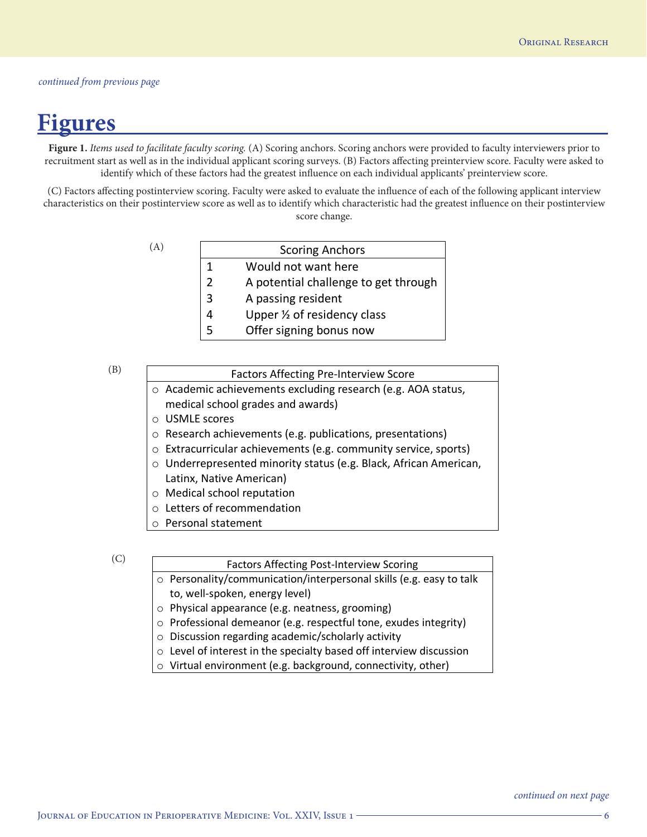## **Figures**

**Figure 1.** *Items used to facilitate faculty scoring.* (A) Scoring anchors. Scoring anchors were provided to faculty interviewers prior to recruitment start as well as in the individual applicant scoring surveys. (B) Factors affecting preinterview score. Faculty were asked to identify which of these factors had the greatest influence on each individual applicants' preinterview score.

(C) Factors affecting postinterview scoring. Faculty were asked to evaluate the influence of each of the following applicant interview characteristics on their postinterview score as well as to identify which characteristic had the greatest influence on their postinterview score change.

(A)

|                | <b>Scoring Anchors</b>               |
|----------------|--------------------------------------|
| $\mathbf{1}$   | Would not want here                  |
| $\overline{2}$ | A potential challenge to get through |
| $\overline{3}$ | A passing resident                   |
| $\overline{4}$ | Upper 1/2 of residency class         |
| -5             | Offer signing bonus now              |

(B)

## Factors Affecting Pre-Interview Score

- o Academic achievements excluding research (e.g. AOA status, medical school grades and awards)
- o USMLE scores
- o Research achievements (e.g. publications, presentations)
- o Extracurricular achievements (e.g. community service, sports)
- o Underrepresented minority status (e.g. Black, African American, Latinx, Native American)
- o Medical school reputation
- o Letters of recommendation
- o Personal statement

(C)

## Factors Affecting Post-Interview Scoring

- o Personality/communication/interpersonal skills (e.g. easy to talk to, well-spoken, energy level)
- o Physical appearance (e.g. neatness, grooming)
- o Professional demeanor (e.g. respectful tone, exudes integrity)
- o Discussion regarding academic/scholarly activity
- o Level of interest in the specialty based off interview discussion
- o Virtual environment (e.g. background, connectivity, other)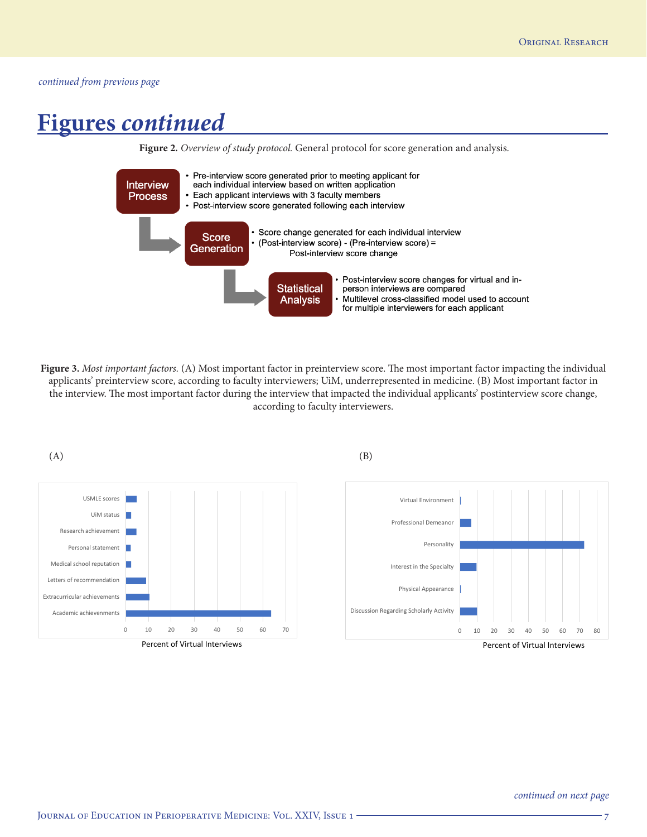## **Figures** *continued*



**Figure 3.** *Most important factors.* (A) Most important factor in preinterview score. The most important factor impacting the individual applicants' preinterview score, according to faculty interviewers; UiM, underrepresented in medicine. (B) Most important factor in the interview. The most important factor during the interview that impacted the individual applicants' postinterview score change, according to faculty interviewers.



Percent of Virtual Interviews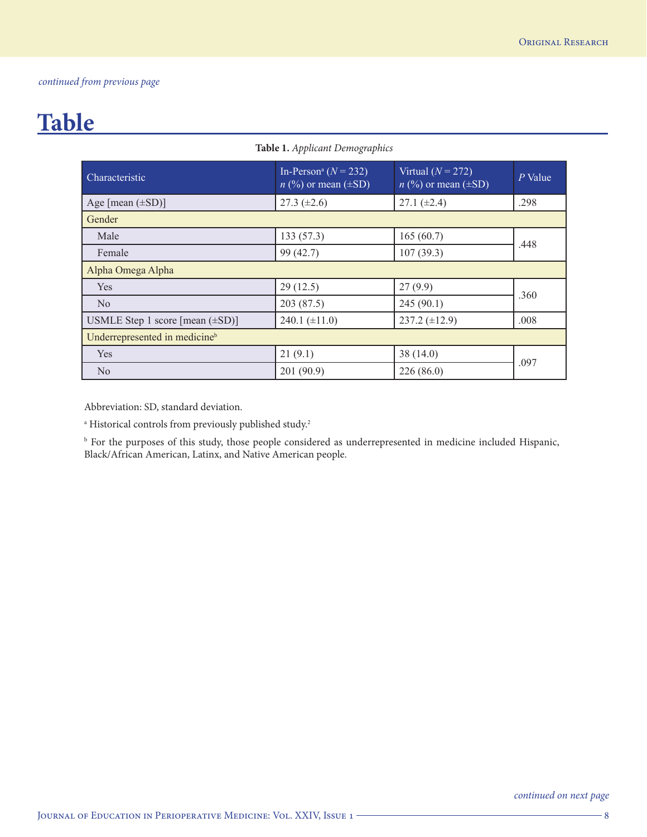## **Table**

| <b>Characteristic</b>                     | In-Person <sup>a</sup> ( $N = 232$ )<br>$n$ (%) or mean ( $\pm$ SD) | Virtual $(N = 272)$<br>$n$ (%) or mean ( $\pm$ SD) | P Value |  |  |
|-------------------------------------------|---------------------------------------------------------------------|----------------------------------------------------|---------|--|--|
| Age [mean $(\pm SD)$ ]                    | 27.3 $(\pm 2.6)$                                                    | $27.1 (\pm 2.4)$                                   | .298    |  |  |
| Gender                                    |                                                                     |                                                    |         |  |  |
| Male                                      | 133(57.3)                                                           | 165(60.7)                                          | .448    |  |  |
| Female                                    | 99 (42.7)                                                           | 107(39.3)                                          |         |  |  |
| Alpha Omega Alpha                         |                                                                     |                                                    |         |  |  |
| Yes                                       | 29(12.5)                                                            | 27(9.9)                                            | .360    |  |  |
| $\rm No$                                  | 203 (87.5)                                                          | 245(90.1)                                          |         |  |  |
| USMLE Step 1 score [mean $(\pm SD)$ ]     | $240.1 (\pm 11.0)$                                                  | $237.2 \ (\pm 12.9)$                               | .008    |  |  |
| Underrepresented in medicine <sup>b</sup> |                                                                     |                                                    |         |  |  |
| Yes                                       | 21(9.1)                                                             | 38(14.0)                                           | .097    |  |  |
| No                                        | 201 (90.9)                                                          | 226(86.0)                                          |         |  |  |

**Table 1.** *Applicant Demographics*

Abbreviation: SD, standard deviation.

<sup>a</sup> Historical controls from previously published study.<sup>2</sup>

b For the purposes of this study, those people considered as underrepresented in medicine included Hispanic, Black/African American, Latinx, and Native American people.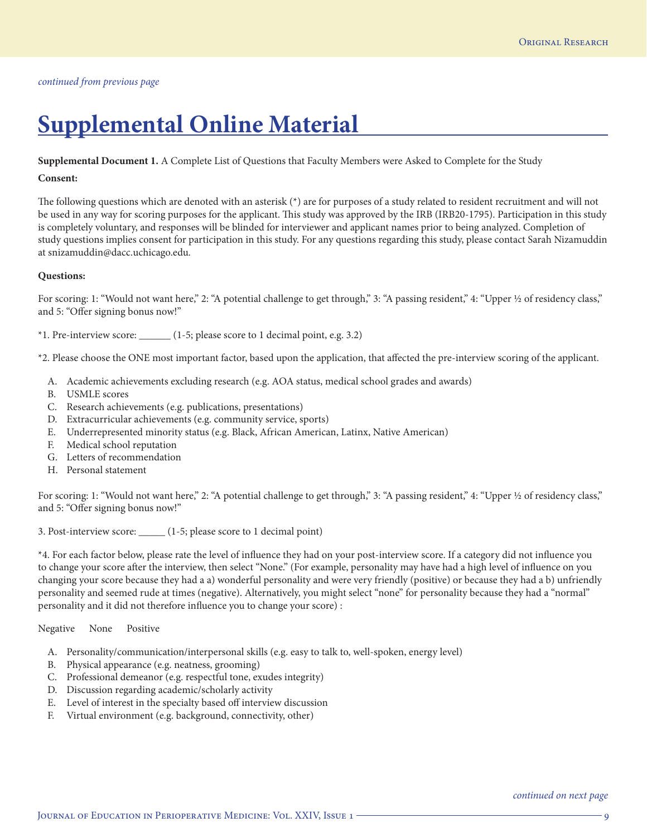## **Supplemental Online Material**

**Supplemental Document 1.** A Complete List of Questions that Faculty Members were Asked to Complete for the Study

## **Consent:**

The following questions which are denoted with an asterisk (\*) are for purposes of a study related to resident recruitment and will not be used in any way for scoring purposes for the applicant. This study was approved by the IRB (IRB20-1795). Participation in this study is completely voluntary, and responses will be blinded for interviewer and applicant names prior to being analyzed. Completion of study questions implies consent for participation in this study. For any questions regarding this study, please contact Sarah Nizamuddin at snizamuddin@dacc.uchicago.edu.

## **Questions:**

For scoring: 1: "Would not want here," 2: "A potential challenge to get through," 3: "A passing resident," 4: "Upper ½ of residency class," and 5: "Offer signing bonus now!"

\*1. Pre-interview score: \_\_\_\_\_\_ (1-5; please score to 1 decimal point, e.g. 3.2)

\*2. Please choose the ONE most important factor, based upon the application, that affected the pre-interview scoring of the applicant.

- A. Academic achievements excluding research (e.g. AOA status, medical school grades and awards)
- B. USMLE scores
- C. Research achievements (e.g. publications, presentations)
- D. Extracurricular achievements (e.g. community service, sports)
- E. Underrepresented minority status (e.g. Black, African American, Latinx, Native American)
- F. Medical school reputation
- G. Letters of recommendation
- H. Personal statement

For scoring: 1: "Would not want here," 2: "A potential challenge to get through," 3: "A passing resident," 4: "Upper ½ of residency class," and 5: "Offer signing bonus now!"

3. Post-interview score: \_\_\_\_\_ (1-5; please score to 1 decimal point)

\*4. For each factor below, please rate the level of influence they had on your post-interview score. If a category did not influence you to change your score after the interview, then select "None." (For example, personality may have had a high level of influence on you changing your score because they had a a) wonderful personality and were very friendly (positive) or because they had a b) unfriendly personality and seemed rude at times (negative). Alternatively, you might select "none" for personality because they had a "normal" personality and it did not therefore influence you to change your score) :

Negative None Positive

- A. Personality/communication/interpersonal skills (e.g. easy to talk to, well-spoken, energy level)
- B. Physical appearance (e.g. neatness, grooming)
- C. Professional demeanor (e.g. respectful tone, exudes integrity)
- D. Discussion regarding academic/scholarly activity
- E. Level of interest in the specialty based off interview discussion
- F. Virtual environment (e.g. background, connectivity, other)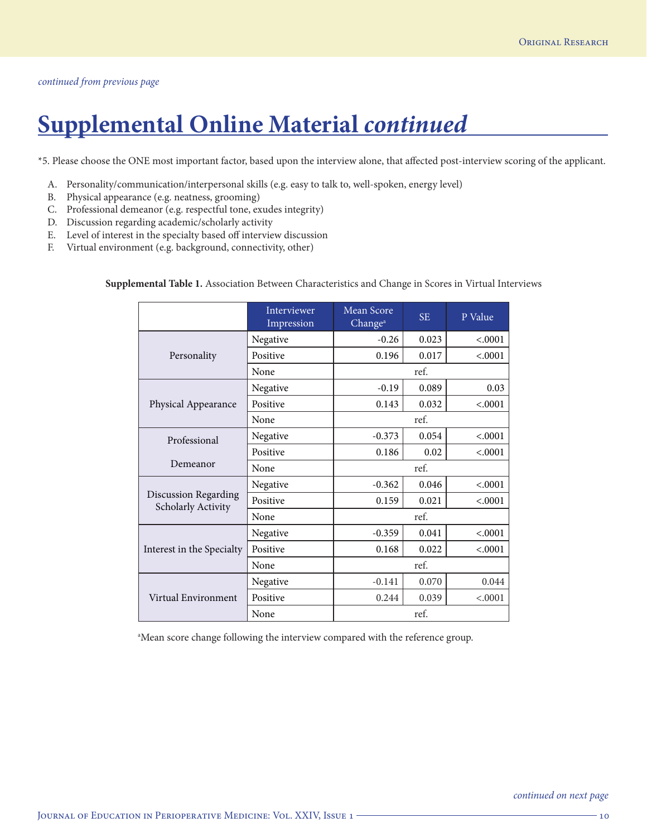# **Supplemental Online Material** *continued*

\*5. Please choose the ONE most important factor, based upon the interview alone, that affected post-interview scoring of the applicant.

- A. Personality/communication/interpersonal skills (e.g. easy to talk to, well-spoken, energy level)
- B. Physical appearance (e.g. neatness, grooming)
- C. Professional demeanor (e.g. respectful tone, exudes integrity)
- D. Discussion regarding academic/scholarly activity
- E. Level of interest in the specialty based off interview discussion
- F. Virtual environment (e.g. background, connectivity, other)

|                                                   | Interviewer<br>Impression | Mean Score<br>Change <sup>a</sup> | <b>SE</b> | P Value |
|---------------------------------------------------|---------------------------|-----------------------------------|-----------|---------|
|                                                   | Negative                  | $-0.26$                           | 0.023     | < .0001 |
| Personality                                       | Positive                  | 0.196                             | 0.017     | < .0001 |
|                                                   | None                      | ref.                              |           |         |
|                                                   | Negative                  | $-0.19$                           | 0.089     | 0.03    |
| Physical Appearance                               | Positive                  | 0.143                             | 0.032     | < .0001 |
|                                                   | None                      | ref.                              |           |         |
| Professional                                      | Negative                  | $-0.373$                          | 0.054     | < .0001 |
|                                                   | Positive                  | 0.186                             | 0.02      | < .0001 |
| Demeanor                                          | None                      |                                   | ref.      |         |
|                                                   | Negative                  | $-0.362$                          | 0.046     | < .0001 |
| <b>Discussion Regarding</b><br>Scholarly Activity | Positive                  | 0.159                             | 0.021     | < .0001 |
|                                                   | None                      |                                   | ref.      |         |
|                                                   | Negative                  | $-0.359$                          | 0.041     | < .0001 |
| Interest in the Specialty                         | Positive                  | 0.168                             | 0.022     | < .0001 |
|                                                   | None                      |                                   | ref.      |         |
|                                                   | Negative                  | $-0.141$                          | 0.070     | 0.044   |
| Virtual Environment                               | Positive                  | 0.244                             | 0.039     | < .0001 |
|                                                   | None                      |                                   | ref.      |         |

**Supplemental Table 1.** Association Between Characteristics and Change in Scores in Virtual Interviews

<sup>a</sup>Mean score change following the interview compared with the reference group.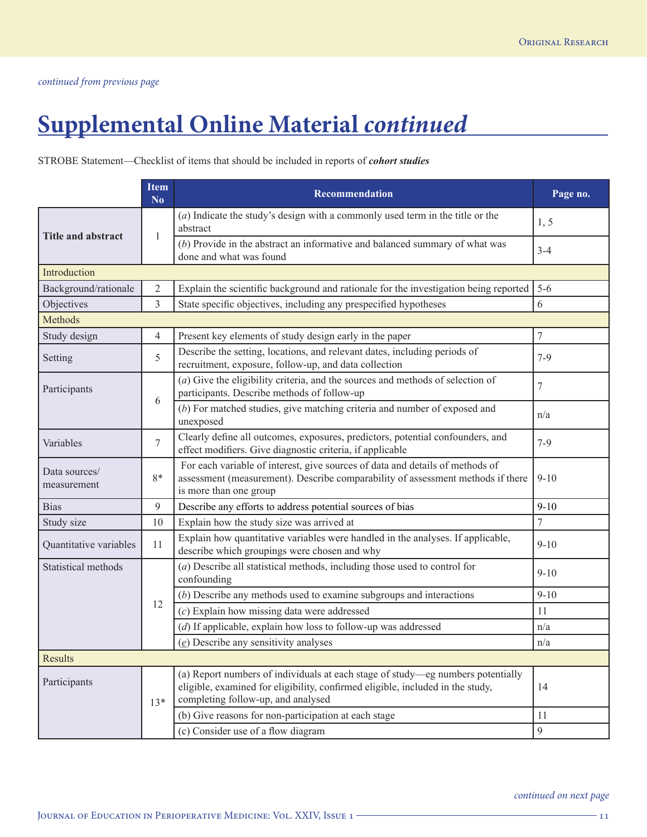# **Supplemental Online Material** *continued*

## STROBE Statement—Checklist of items that should be included in reports of *cohort studies*

|                              | <b>Item</b><br>N <sub>0</sub>                                                                                                                                                                                    | <b>Recommendation</b>                                                                                                                                                                      | Page no.         |
|------------------------------|------------------------------------------------------------------------------------------------------------------------------------------------------------------------------------------------------------------|--------------------------------------------------------------------------------------------------------------------------------------------------------------------------------------------|------------------|
| <b>Title and abstract</b>    | 1                                                                                                                                                                                                                | $(a)$ Indicate the study's design with a commonly used term in the title or the<br>abstract                                                                                                | 1, 5             |
|                              |                                                                                                                                                                                                                  | $(b)$ Provide in the abstract an informative and balanced summary of what was<br>done and what was found                                                                                   | $3 - 4$          |
| Introduction                 |                                                                                                                                                                                                                  |                                                                                                                                                                                            |                  |
| Background/rationale         | 2                                                                                                                                                                                                                | Explain the scientific background and rationale for the investigation being reported                                                                                                       | $5 - 6$          |
| Objectives                   | 3                                                                                                                                                                                                                | State specific objectives, including any prespecified hypotheses                                                                                                                           | 6                |
| Methods                      |                                                                                                                                                                                                                  |                                                                                                                                                                                            |                  |
| Study design                 | $\overline{4}$                                                                                                                                                                                                   | Present key elements of study design early in the paper                                                                                                                                    | $\boldsymbol{7}$ |
| Setting                      | 5                                                                                                                                                                                                                | Describe the setting, locations, and relevant dates, including periods of<br>recruitment, exposure, follow-up, and data collection                                                         | $7-9$            |
| Participants                 |                                                                                                                                                                                                                  | $(a)$ Give the eligibility criteria, and the sources and methods of selection of<br>participants. Describe methods of follow-up                                                            | $\overline{7}$   |
|                              | 6                                                                                                                                                                                                                | (b) For matched studies, give matching criteria and number of exposed and<br>unexposed                                                                                                     | n/a              |
| Variables                    | 7                                                                                                                                                                                                                | Clearly define all outcomes, exposures, predictors, potential confounders, and<br>effect modifiers. Give diagnostic criteria, if applicable                                                | $7-9$            |
| Data sources/<br>measurement | 8*                                                                                                                                                                                                               | For each variable of interest, give sources of data and details of methods of<br>assessment (measurement). Describe comparability of assessment methods if there<br>is more than one group | $9 - 10$         |
| <b>Bias</b>                  | 9                                                                                                                                                                                                                | Describe any efforts to address potential sources of bias                                                                                                                                  | $9 - 10$         |
| Study size                   | 10                                                                                                                                                                                                               | Explain how the study size was arrived at                                                                                                                                                  | $\tau$           |
| Quantitative variables       | 11                                                                                                                                                                                                               | Explain how quantitative variables were handled in the analyses. If applicable,<br>describe which groupings were chosen and why                                                            | $9 - 10$         |
| Statistical methods          |                                                                                                                                                                                                                  | $(a)$ Describe all statistical methods, including those used to control for<br>confounding                                                                                                 | $9 - 10$         |
|                              |                                                                                                                                                                                                                  | $(b)$ Describe any methods used to examine subgroups and interactions                                                                                                                      | $9 - 10$         |
|                              | 12                                                                                                                                                                                                               | $(c)$ Explain how missing data were addressed                                                                                                                                              | 11               |
|                              |                                                                                                                                                                                                                  | $(d)$ If applicable, explain how loss to follow-up was addressed                                                                                                                           | n/a              |
|                              |                                                                                                                                                                                                                  | $(e)$ Describe any sensitivity analyses                                                                                                                                                    | n/a              |
| Results                      |                                                                                                                                                                                                                  |                                                                                                                                                                                            |                  |
| Participants                 | (a) Report numbers of individuals at each stage of study-eg numbers potentially<br>eligible, examined for eligibility, confirmed eligible, included in the study,<br>completing follow-up, and analysed<br>$13*$ |                                                                                                                                                                                            | 14               |
|                              |                                                                                                                                                                                                                  | (b) Give reasons for non-participation at each stage                                                                                                                                       | 11               |
|                              |                                                                                                                                                                                                                  | (c) Consider use of a flow diagram                                                                                                                                                         | $\mathfrak{g}$   |